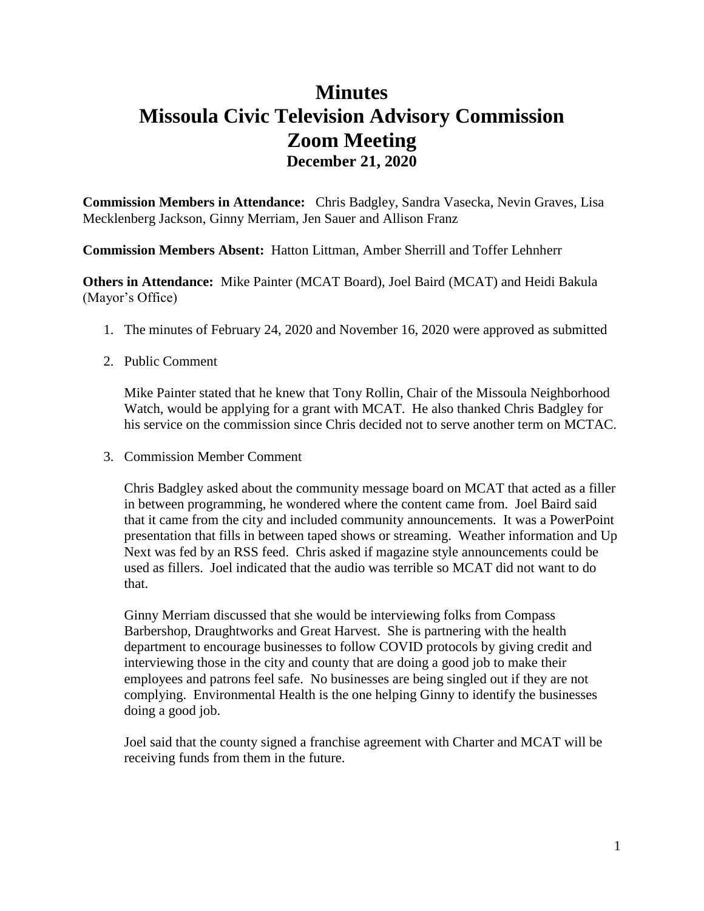## **Minutes Missoula Civic Television Advisory Commission Zoom Meeting December 21, 2020**

**Commission Members in Attendance:** Chris Badgley, Sandra Vasecka, Nevin Graves, Lisa Mecklenberg Jackson, Ginny Merriam, Jen Sauer and Allison Franz

**Commission Members Absent:** Hatton Littman, Amber Sherrill and Toffer Lehnherr

**Others in Attendance:** Mike Painter (MCAT Board), Joel Baird (MCAT) and Heidi Bakula (Mayor's Office)

1. The minutes of February 24, 2020 and November 16, 2020 were approved as submitted

## 2. Public Comment

Mike Painter stated that he knew that Tony Rollin, Chair of the Missoula Neighborhood Watch, would be applying for a grant with MCAT. He also thanked Chris Badgley for his service on the commission since Chris decided not to serve another term on MCTAC.

3. Commission Member Comment

Chris Badgley asked about the community message board on MCAT that acted as a filler in between programming, he wondered where the content came from. Joel Baird said that it came from the city and included community announcements. It was a PowerPoint presentation that fills in between taped shows or streaming. Weather information and Up Next was fed by an RSS feed. Chris asked if magazine style announcements could be used as fillers. Joel indicated that the audio was terrible so MCAT did not want to do that.

Ginny Merriam discussed that she would be interviewing folks from Compass Barbershop, Draughtworks and Great Harvest. She is partnering with the health department to encourage businesses to follow COVID protocols by giving credit and interviewing those in the city and county that are doing a good job to make their employees and patrons feel safe. No businesses are being singled out if they are not complying. Environmental Health is the one helping Ginny to identify the businesses doing a good job.

Joel said that the county signed a franchise agreement with Charter and MCAT will be receiving funds from them in the future.